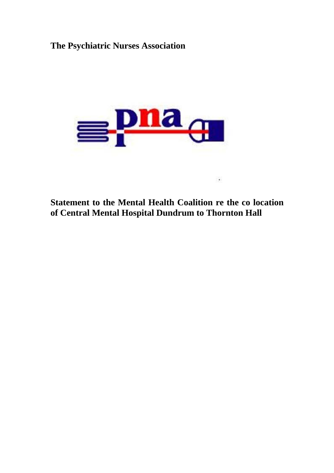## **The Psychiatric Nurses Association**



**Statement to the Mental Health Coalition re the co location of Central Mental Hospital Dundrum to Thornton Hall**

 $\cdot$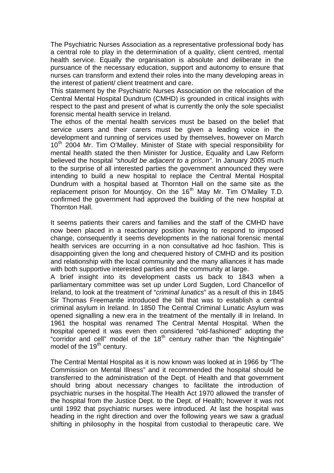The Psychiatric Nurses Association as a representative professional body has a central role to play in the determination of a quality, client centred, mental health service. Equally the organisation is absolute and deliberate in the pursuance of the necessary education, support and autonomy to ensure that nurses can transform and extend their roles into the many developing areas in the interest of patient/ client treatment and care.

This statement by the Psychiatric Nurses Association on the relocation of the Central Mental Hospital Dundrum (CMHD) is grounded in critical insights with respect to the past and present of what is currently the only the sole specialist forensic mental health service in Ireland.

The ethos of the mental health services must be based on the belief that service users and their carers must be given a leading voice in the development and running of services used by themselves, however on March 10<sup>th</sup> 2004 Mr. Tim O'Malley. Minister of State with special responsibility for mental health stated the then Minister for Justice, Equality and Law Reform believed the hospital *"should be adjacent to a prison".* In January 2005 much to the surprise of all interested parties the government announced they were intending to build a new hospital to replace the Central Mental Hospital Dundrum with a hospital based at Thornton Hall on the same site as the replacement prison for Mountjoy. On the  $16<sup>th</sup>$  May Mr. Tim O'Malley T.D. confirmed the government had approved the building of the new hospital at Thornton Hall.

It seems patients their carers and families and the staff of the CMHD have now been placed in a reactionary position having to respond to imposed change, consequently it seems developments in the national forensic mental health services are occurring in a non consultative ad hoc fashion. This is disappointing given the long and chequered history of CMHD and its position and relationship with the local community and the many alliances it has made with both supportive interested parties and the community at large.

A brief insight into its development casts us back to 1843 when a parliamentary committee was set up under Lord Sugden, Lord Chancellor of Ireland, to look at the treatment of "*criminal lunatics*" as a result of this in 1845 Sir Thomas Freemantle introduced the bill that was to establish a central criminal asylum in Ireland. In 1850 The Central Criminal Lunatic Asylum was opened signalling a new era in the treatment of the mentally ill in Ireland. In 1961 the hospital was renamed The Central Mental Hospital. When the hospital opened it was even then considered "old-fashioned" adopting the "corridor and cell" model of the 18<sup>th</sup> century rather than "the Nightingale" model of the 19<sup>th</sup> century.

The Central Mental Hospital as it is now known was looked at in 1966 by "The Commission on Mental Illness" and it recommended the hospital should be transferred to the administration of the Dept. of Health and that government should bring about necessary changes to facilitate the introduction of psychiatric nurses in the hospital.The Health Act 1970 allowed the transfer of the hospital from the Justice Dept. to the Dept. of Health; however it was not until 1992 that psychiatric nurses were introduced. At last the hospital was heading in the right direction and over the following years we saw a gradual shifting in philosophy in the hospital from custodial to therapeutic care. We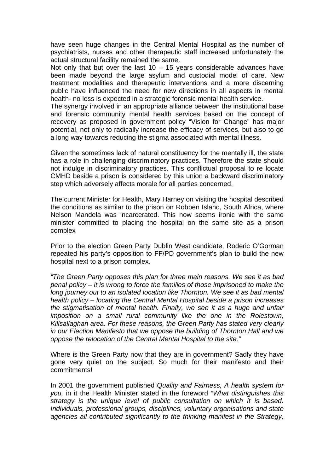have seen huge changes in the Central Mental Hospital as the number of psychiatrists, nurses and other therapeutic staff increased unfortunately the actual structural facility remained the same.

Not only that but over the last  $10 - 15$  years considerable advances have been made beyond the large asylum and custodial model of care. New treatment modalities and therapeutic interventions and a more discerning public have influenced the need for new directions in all aspects in mental health- no less is expected in a strategic forensic mental health service.

The synergy involved in an appropriate alliance between the institutional base and forensic community mental health services based on the concept of recovery as proposed in government policy "Vision for Change" has major potential, not only to radically increase the efficacy of services, but also to go a long way towards reducing the stigma associated with mental illness.

Given the sometimes lack of natural constituency for the mentally ill, the state has a role in challenging discriminatory practices. Therefore the state should not indulge in discriminatory practices. This conflictual proposal to re locate CMHD beside a prison is considered by this union a backward discriminatory step which adversely affects morale for all parties concerned.

The current Minister for Health, Mary Harney on visiting the hospital described the conditions as similar to the prison on Robben Island, South Africa, where Nelson Mandela was incarcerated. This now seems ironic with the same minister committed to placing the hospital on the same site as a prison complex

Prior to the election Green Party Dublin West candidate, Roderic O'Gorman repeated his party's opposition to FF/PD government's plan to build the new hospital next to a prison complex.

*"The Green Party opposes this plan for three main reasons. We see it as bad penal policy – it is wrong to force the families of those imprisoned to make the long journey out to an isolated location like Thornton. We see it as bad mental health policy – locating the Central Mental Hospital beside a prison increases the stigmatisation of mental health. Finally, we see it as a huge and unfair imposition on a small rural community like the one in the Rolestown, Killsallaghan area. For these reasons, the Green Party has stated very clearly in our Election Manifesto that we oppose the building of Thornton Hall and we oppose the relocation of the Central Mental Hospital to the site."* 

Where is the Green Party now that they are in government? Sadly they have gone very quiet on the subject. So much for their manifesto and their commitments!

In 2001 the government published *Quality and Fairness, A health system for you,* in it the Health Minister stated in the foreword *"What distinguishes this strategy is the unique level of public consultation on which it is based. Individuals, professional groups, disciplines, voluntary organisations and state agencies all contributed significantly to the thinking manifest in the Strategy,*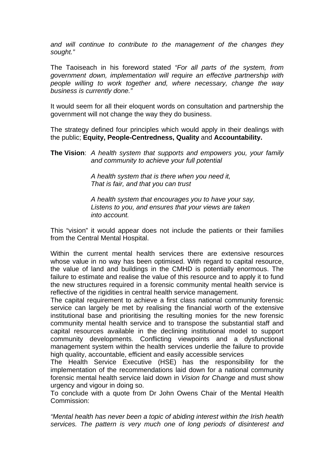*and will continue to contribute to the management of the changes they sought."* 

The Taoiseach in his foreword stated *"For all parts of the system, from government down, implementation will require an effective partnership with people willing to work together and, where necessary, change the way business is currently done."* 

It would seem for all their eloquent words on consultation and partnership the government will not change the way they do business.

The strategy defined four principles which would apply in their dealings with the public; **Equity, People-Centredness, Quality** and **Accountability.** 

**The Vision**: *A health system that supports and empowers you, your family and community to achieve your full potential* 

> *A health system that is there when you need it, That is fair, and that you can trust*

 *A health system that encourages you to have your say, Listens to you, and ensures that your views are taken into account.* 

This "vision" it would appear does not include the patients or their families from the Central Mental Hospital.

Within the current mental health services there are extensive resources whose value in no way has been optimised. With regard to capital resource, the value of land and buildings in the CMHD is potentially enormous. The failure to estimate and realise the value of this resource and to apply it to fund the new structures required in a forensic community mental health service is reflective of the rigidities in central health service management.

The capital requirement to achieve a first class national community forensic service can largely be met by realising the financial worth of the extensive institutional base and prioritising the resulting monies for the new forensic community mental health service and to transpose the substantial staff and capital resources available in the declining institutional model to support community developments. Conflicting viewpoints and a dysfunctional management system within the health services underlie the failure to provide high quality, accountable, efficient and easily accessible services

The Health Service Executive (HSE) has the responsibility for the implementation of the recommendations laid down for a national community forensic mental health service laid down in *Vision for Change* and must show urgency and vigour in doing so.

To conclude with a quote from Dr John Owens Chair of the Mental Health Commission:

*"Mental health has never been a topic of abiding interest within the Irish health services. The pattern is very much one of long periods of disinterest and*